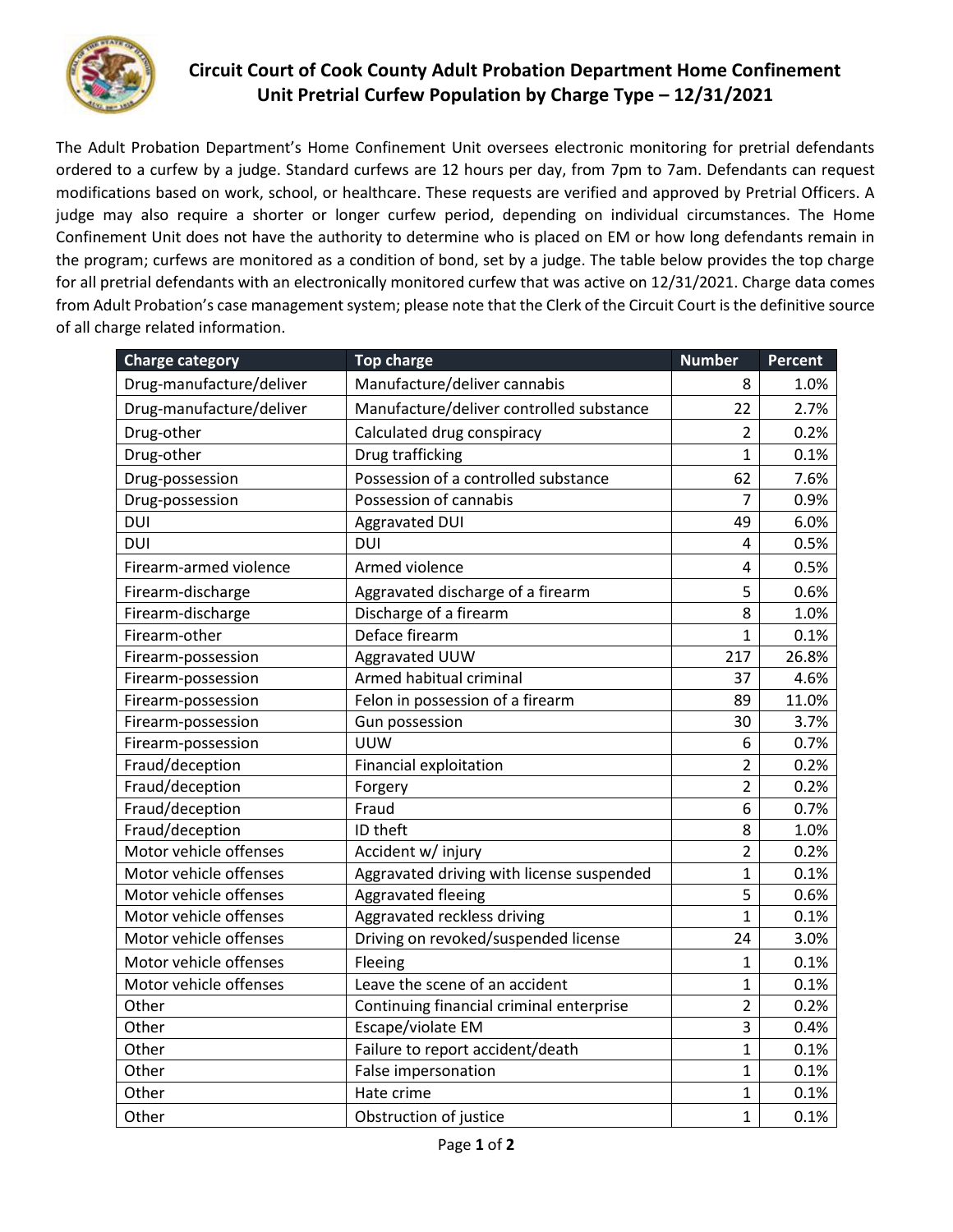

## **Circuit Court of Cook County Adult Probation Department Home Confinement Unit Pretrial Curfew Population by Charge Type – 12/31/2021**

The Adult Probation Department's Home Confinement Unit oversees electronic monitoring for pretrial defendants ordered to a curfew by a judge. Standard curfews are 12 hours per day, from 7pm to 7am. Defendants can request modifications based on work, school, or healthcare. These requests are verified and approved by Pretrial Officers. A judge may also require a shorter or longer curfew period, depending on individual circumstances. The Home Confinement Unit does not have the authority to determine who is placed on EM or how long defendants remain in the program; curfews are monitored as a condition of bond, set by a judge. The table below provides the top charge for all pretrial defendants with an electronically monitored curfew that was active on 12/31/2021. Charge data comes from Adult Probation's case management system; please note that the Clerk of the Circuit Court is the definitive source of all charge related information.

| <b>Charge category</b>   | <b>Top charge</b>                         | <b>Number</b>  | Percent |
|--------------------------|-------------------------------------------|----------------|---------|
| Drug-manufacture/deliver | Manufacture/deliver cannabis              | 8              | 1.0%    |
| Drug-manufacture/deliver | Manufacture/deliver controlled substance  | 22             | 2.7%    |
| Drug-other               | Calculated drug conspiracy                | $\overline{2}$ | 0.2%    |
| Drug-other               | Drug trafficking                          | $\mathbf{1}$   | 0.1%    |
| Drug-possession          | Possession of a controlled substance      | 62             | 7.6%    |
| Drug-possession          | Possession of cannabis                    | 7              | 0.9%    |
| DUI                      | <b>Aggravated DUI</b>                     | 49             | 6.0%    |
| DUI                      | <b>DUI</b>                                | 4              | 0.5%    |
| Firearm-armed violence   | Armed violence                            | 4              | 0.5%    |
| Firearm-discharge        | Aggravated discharge of a firearm         | 5              | 0.6%    |
| Firearm-discharge        | Discharge of a firearm                    | 8              | 1.0%    |
| Firearm-other            | Deface firearm                            | $\overline{1}$ | 0.1%    |
| Firearm-possession       | Aggravated UUW                            | 217            | 26.8%   |
| Firearm-possession       | Armed habitual criminal                   | 37             | 4.6%    |
| Firearm-possession       | Felon in possession of a firearm          | 89             | 11.0%   |
| Firearm-possession       | Gun possession                            | 30             | 3.7%    |
| Firearm-possession       | <b>UUW</b>                                | 6              | 0.7%    |
| Fraud/deception          | Financial exploitation                    | $\overline{2}$ | 0.2%    |
| Fraud/deception          | Forgery                                   | $\overline{2}$ | 0.2%    |
| Fraud/deception          | Fraud                                     | 6              | 0.7%    |
| Fraud/deception          | ID theft                                  | 8              | 1.0%    |
| Motor vehicle offenses   | Accident w/ injury                        | $\overline{2}$ | 0.2%    |
| Motor vehicle offenses   | Aggravated driving with license suspended | $\mathbf{1}$   | 0.1%    |
| Motor vehicle offenses   | Aggravated fleeing                        | 5              | 0.6%    |
| Motor vehicle offenses   | Aggravated reckless driving               | $\mathbf{1}$   | 0.1%    |
| Motor vehicle offenses   | Driving on revoked/suspended license      | 24             | 3.0%    |
| Motor vehicle offenses   | Fleeing                                   | $\overline{1}$ | 0.1%    |
| Motor vehicle offenses   | Leave the scene of an accident            | $\mathbf{1}$   | 0.1%    |
| Other                    | Continuing financial criminal enterprise  | $\overline{2}$ | 0.2%    |
| Other                    | Escape/violate EM                         | $\overline{3}$ | 0.4%    |
| Other                    | Failure to report accident/death          | 1              | 0.1%    |
| Other                    | False impersonation                       | 1              | 0.1%    |
| Other                    | Hate crime                                | 1              | 0.1%    |
| Other                    | Obstruction of justice                    | 1              | 0.1%    |